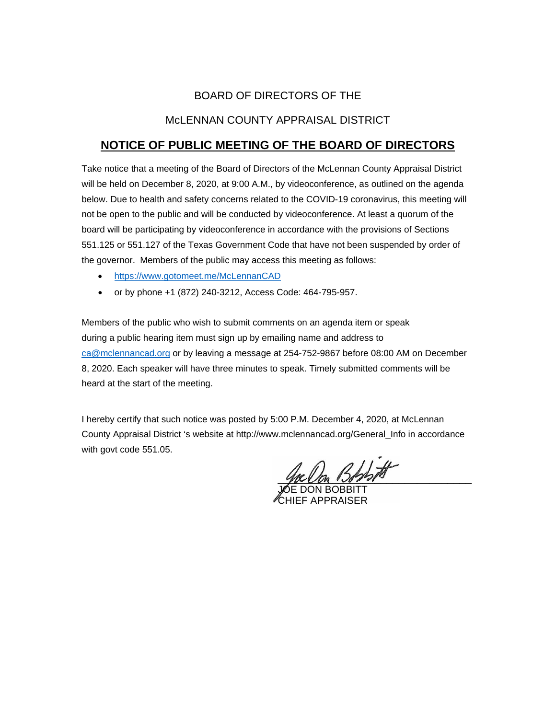# BOARD OF DIRECTORS OF THE

## McLENNAN COUNTY APPRAISAL DISTRICT

# **NOTICE OF PUBLIC MEETING OF THE BOARD OF DIRECTORS**

Take notice that a meeting of the Board of Directors of the McLennan County Appraisal District will be held on December 8, 2020, at 9:00 A.M., by videoconference, as outlined on the agenda below. Due to health and safety concerns related to the COVID-19 coronavirus, this meeting will not be open to the public and will be conducted by videoconference. At least a quorum of the board will be participating by videoconference in accordance with the provisions of Sections 551.125 or 551.127 of the Texas Government Code that have not been suspended by order of the governor. Members of the public may access this meeting as follows:

- <https://www.gotomeet.me/McLennanCAD>
- or by phone +1 (872) 240-3212, Access Code: 464-795-957.

Members of the public who wish to submit comments on an agenda item or speak during a public hearing item must sign up by emailing name and address to [ca@mclennancad.org](mailto:ca@mclennancad.org) or by leaving a message at 254-752-9867 before 08:00 AM on December 8, 2020. Each speaker will have three minutes to speak. Timely submitted comments will be heard at the start of the meeting.

I hereby certify that such notice was posted by 5:00 P.M. December 4, 2020, at McLennan County Appraisal District 's website at http://www.mclennancad.org/General\_Info in accordance with govt code 551.05.

 $3$ 

JOE DON BOBBITT CHIEF APPRAISER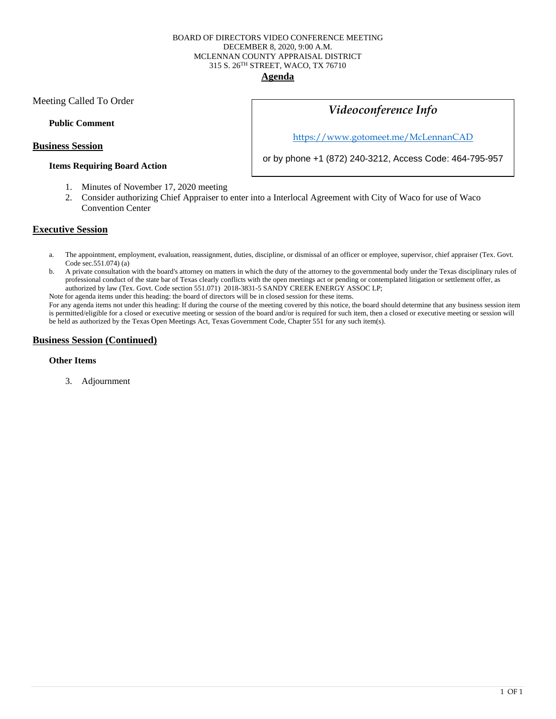#### BOARD OF DIRECTORS VIDEO CONFERENCE MEETING DECEMBER 8, 2020, 9:00 A.M. MCLENNAN COUNTY APPRAISAL DISTRICT 315 S. 26TH STREET, WACO, TX 76710 **Agenda**

Meeting Called To Order

#### **Public Comment**

#### **Business Session**

#### **Items Requiring Board Action**

# *Videoconference Info*

<https://www.gotomeet.me/McLennanCAD>

or by phone +1 (872) 240-3212, Access Code: 464-795-957

- 1. Minutes of November 17, 2020 meeting
- 2. Consider authorizing Chief Appraiser to enter into a Interlocal Agreement with City of Waco for use of Waco Convention Center

### **Executive Session**

- a. The appointment, employment, evaluation, reassignment, duties, discipline, or dismissal of an officer or employee, supervisor, chief appraiser (Tex. Govt. Code sec.551.074) (a)
- b. A private consultation with the board's attorney on matters in which the duty of the attorney to the governmental body under the Texas disciplinary rules of professional conduct of the state bar of Texas clearly conflicts with the open meetings act or pending or contemplated litigation or settlement offer, as authorized by law (Tex. Govt. Code section 551.071) 2018-3831-5 SANDY CREEK ENERGY ASSOC LP;

Note for agenda items under this heading: the board of directors will be in closed session for these items.

For any agenda items not under this heading: If during the course of the meeting covered by this notice, the board should determine that any business session item is permitted/eligible for a closed or executive meeting or session of the board and/or is required for such item, then a closed or executive meeting or session will be held as authorized by the Texas Open Meetings Act, Texas Government Code, Chapter 551 for any such item(s).

### **Business Session (Continued)**

#### **Other Items**

3. Adjournment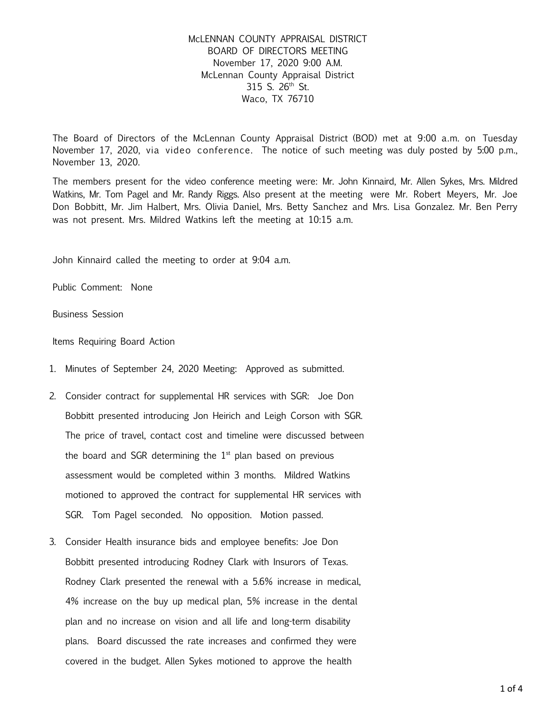## McLENNAN COUNTY APPRAISAL DISTRICT BOARD OF DIRECTORS MEETING November 17, 2020 9:00 A.M. McLennan County Appraisal District 315 S. 26th St. Waco, TX 76710

The Board of Directors of the McLennan County Appraisal District (BOD) met at 9:00 a.m. on Tuesday November 17, 2020, via video conference. The notice of such meeting was duly posted by 5:00 p.m., November 13, 2020.

The members present for the video conference meeting were: Mr. John Kinnaird, Mr. Allen Sykes, Mrs. Mildred Watkins, Mr. Tom Pagel and Mr. Randy Riggs. Also present at the meeting were Mr. Robert Meyers, Mr. Joe Don Bobbitt, Mr. Jim Halbert, Mrs. Olivia Daniel, Mrs. Betty Sanchez and Mrs. Lisa Gonzalez. Mr. Ben Perry was not present. Mrs. Mildred Watkins left the meeting at 10:15 a.m.

John Kinnaird called the meeting to order at 9:04 a.m.

Public Comment: None

Business Session

Items Requiring Board Action

- 1. Minutes of September 24, 2020 Meeting: Approved as submitted.
- 2. Consider contract for supplemental HR services with SGR: Joe Don Bobbitt presented introducing Jon Heirich and Leigh Corson with SGR. The price of travel, contact cost and timeline were discussed between the board and SGR determining the  $1<sup>st</sup>$  plan based on previous assessment would be completed within 3 months. Mildred Watkins motioned to approved the contract for supplemental HR services with SGR. Tom Pagel seconded. No opposition. Motion passed.
- 3. Consider Health insurance bids and employee benefits: Joe Don Bobbitt presented introducing Rodney Clark with Insurors of Texas. Rodney Clark presented the renewal with a 5.6% increase in medical, 4% increase on the buy up medical plan, 5% increase in the dental plan and no increase on vision and all life and long-term disability plans. Board discussed the rate increases and confirmed they were covered in the budget. Allen Sykes motioned to approve the health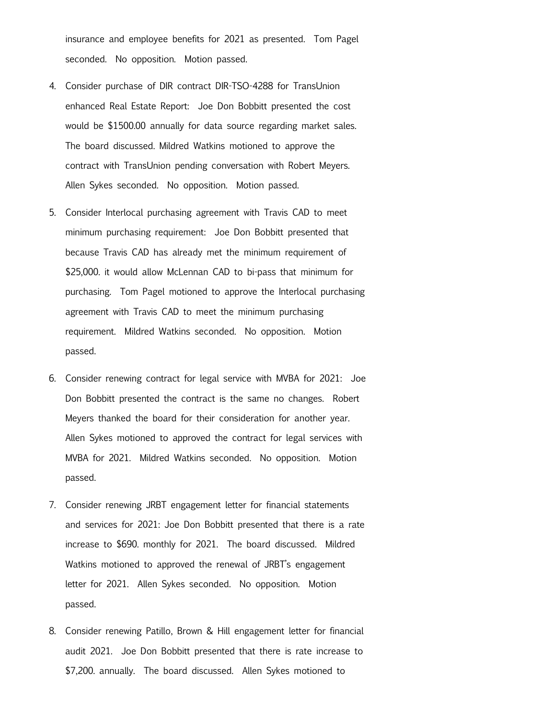insurance and employee benefits for 2021 as presented. Tom Pagel seconded. No opposition. Motion passed.

- 4. Consider purchase of DIR contract DIR-TSO-4288 for TransUnion enhanced Real Estate Report: Joe Don Bobbitt presented the cost would be \$1500.00 annually for data source regarding market sales. The board discussed. Mildred Watkins motioned to approve the contract with TransUnion pending conversation with Robert Meyers. Allen Sykes seconded. No opposition. Motion passed.
- 5. Consider Interlocal purchasing agreement with Travis CAD to meet minimum purchasing requirement: Joe Don Bobbitt presented that because Travis CAD has already met the minimum requirement of \$25,000. it would allow McLennan CAD to bi-pass that minimum for purchasing. Tom Pagel motioned to approve the Interlocal purchasing agreement with Travis CAD to meet the minimum purchasing requirement. Mildred Watkins seconded. No opposition. Motion passed.
- 6. Consider renewing contract for legal service with MVBA for 2021: Joe Don Bobbitt presented the contract is the same no changes. Robert Meyers thanked the board for their consideration for another year. Allen Sykes motioned to approved the contract for legal services with MVBA for 2021. Mildred Watkins seconded. No opposition. Motion passed.
- 7. Consider renewing JRBT engagement letter for financial statements and services for 2021: Joe Don Bobbitt presented that there is a rate increase to \$690. monthly for 2021. The board discussed. Mildred Watkins motioned to approved the renewal of JRBT's engagement letter for 2021. Allen Sykes seconded. No opposition. Motion passed.
- 8. Consider renewing Patillo, Brown & Hill engagement letter for financial audit 2021. Joe Don Bobbitt presented that there is rate increase to \$7,200. annually. The board discussed. Allen Sykes motioned to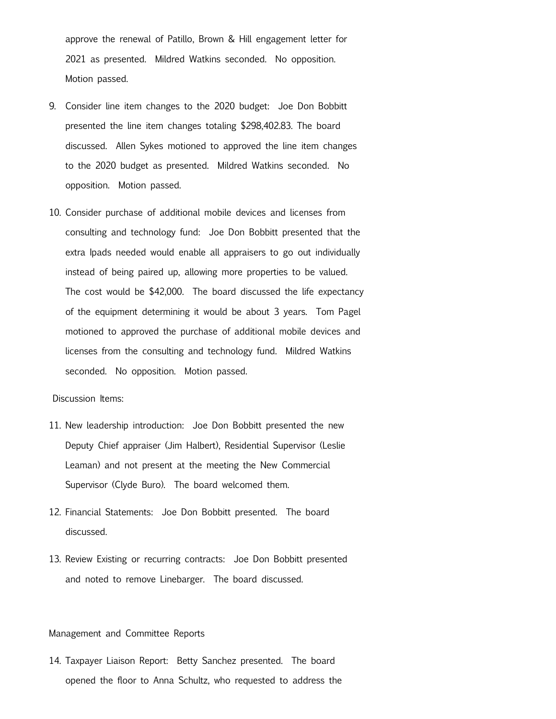approve the renewal of Patillo, Brown & Hill engagement letter for 2021 as presented. Mildred Watkins seconded. No opposition. Motion passed.

- 9. Consider line item changes to the 2020 budget: Joe Don Bobbitt presented the line item changes totaling \$298,402.83. The board discussed. Allen Sykes motioned to approved the line item changes to the 2020 budget as presented. Mildred Watkins seconded. No opposition. Motion passed.
- 10. Consider purchase of additional mobile devices and licenses from consulting and technology fund: Joe Don Bobbitt presented that the extra Ipads needed would enable all appraisers to go out individually instead of being paired up, allowing more properties to be valued. The cost would be \$42,000. The board discussed the life expectancy of the equipment determining it would be about 3 years. Tom Pagel motioned to approved the purchase of additional mobile devices and licenses from the consulting and technology fund. Mildred Watkins seconded. No opposition. Motion passed.

#### Discussion Items:

- 11. New leadership introduction: Joe Don Bobbitt presented the new Deputy Chief appraiser (Jim Halbert), Residential Supervisor (Leslie Leaman) and not present at the meeting the New Commercial Supervisor (Clyde Buro). The board welcomed them.
- 12. Financial Statements: Joe Don Bobbitt presented. The board discussed.
- 13. Review Existing or recurring contracts: Joe Don Bobbitt presented and noted to remove Linebarger. The board discussed.

#### Management and Committee Reports

14. Taxpayer Liaison Report: Betty Sanchez presented. The board opened the floor to Anna Schultz, who requested to address the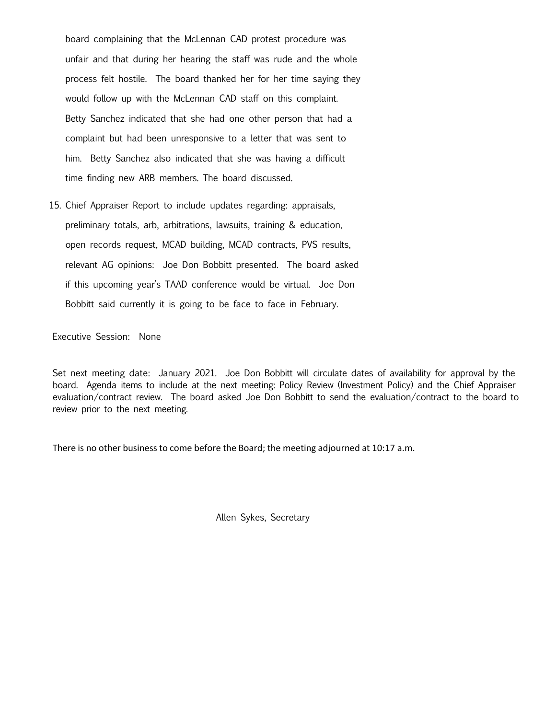board complaining that the McLennan CAD protest procedure was unfair and that during her hearing the staff was rude and the whole process felt hostile. The board thanked her for her time saying they would follow up with the McLennan CAD staff on this complaint. Betty Sanchez indicated that she had one other person that had a complaint but had been unresponsive to a letter that was sent to him. Betty Sanchez also indicated that she was having a difficult time finding new ARB members. The board discussed.

15. Chief Appraiser Report to include updates regarding: appraisals, preliminary totals, arb, arbitrations, lawsuits, training & education, open records request, MCAD building, MCAD contracts, PVS results, relevant AG opinions: Joe Don Bobbitt presented. The board asked if this upcoming year's TAAD conference would be virtual. Joe Don Bobbitt said currently it is going to be face to face in February.

Executive Session: None

Set next meeting date: January 2021. Joe Don Bobbitt will circulate dates of availability for approval by the board. Agenda items to include at the next meeting: Policy Review (Investment Policy) and the Chief Appraiser evaluation/contract review. The board asked Joe Don Bobbitt to send the evaluation/contract to the board to review prior to the next meeting.

There is no other business to come before the Board; the meeting adjourned at 10:17 a.m.

Allen Sykes, Secretary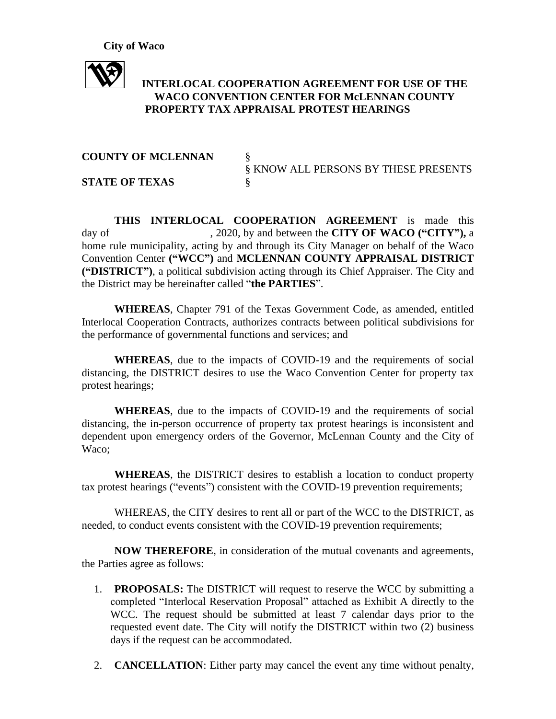

# **INTERLOCAL COOPERATION AGREEMENT FOR USE OF THE WACO CONVENTION CENTER FOR McLENNAN COUNTY PROPERTY TAX APPRAISAL PROTEST HEARINGS**

## **COUNTY OF MCLENNAN**

**STATE OF TEXAS** §

§ KNOW ALL PERSONS BY THESE PRESENTS

**THIS INTERLOCAL COOPERATION AGREEMENT** is made this day of , 2020, by and between the **CITY OF WACO ("CITY"),** a home rule municipality, acting by and through its City Manager on behalf of the Waco Convention Center **("WCC")** and **MCLENNAN COUNTY APPRAISAL DISTRICT ("DISTRICT")**, a political subdivision acting through its Chief Appraiser. The City and the District may be hereinafter called "**the PARTIES**".

**WHEREAS**, Chapter 791 of the Texas Government Code, as amended, entitled Interlocal Cooperation Contracts, authorizes contracts between political subdivisions for the performance of governmental functions and services; and

**WHEREAS**, due to the impacts of COVID-19 and the requirements of social distancing, the DISTRICT desires to use the Waco Convention Center for property tax protest hearings;

**WHEREAS**, due to the impacts of COVID-19 and the requirements of social distancing, the in-person occurrence of property tax protest hearings is inconsistent and dependent upon emergency orders of the Governor, McLennan County and the City of Waco;

**WHEREAS**, the DISTRICT desires to establish a location to conduct property tax protest hearings ("events") consistent with the COVID-19 prevention requirements;

WHEREAS, the CITY desires to rent all or part of the WCC to the DISTRICT, as needed, to conduct events consistent with the COVID-19 prevention requirements;

**NOW THEREFORE**, in consideration of the mutual covenants and agreements, the Parties agree as follows:

- 1. **PROPOSALS:** The DISTRICT will request to reserve the WCC by submitting a completed "Interlocal Reservation Proposal" attached as Exhibit A directly to the WCC. The request should be submitted at least 7 calendar days prior to the requested event date. The City will notify the DISTRICT within two (2) business days if the request can be accommodated.
- 2. **CANCELLATION**: Either party may cancel the event any time without penalty,